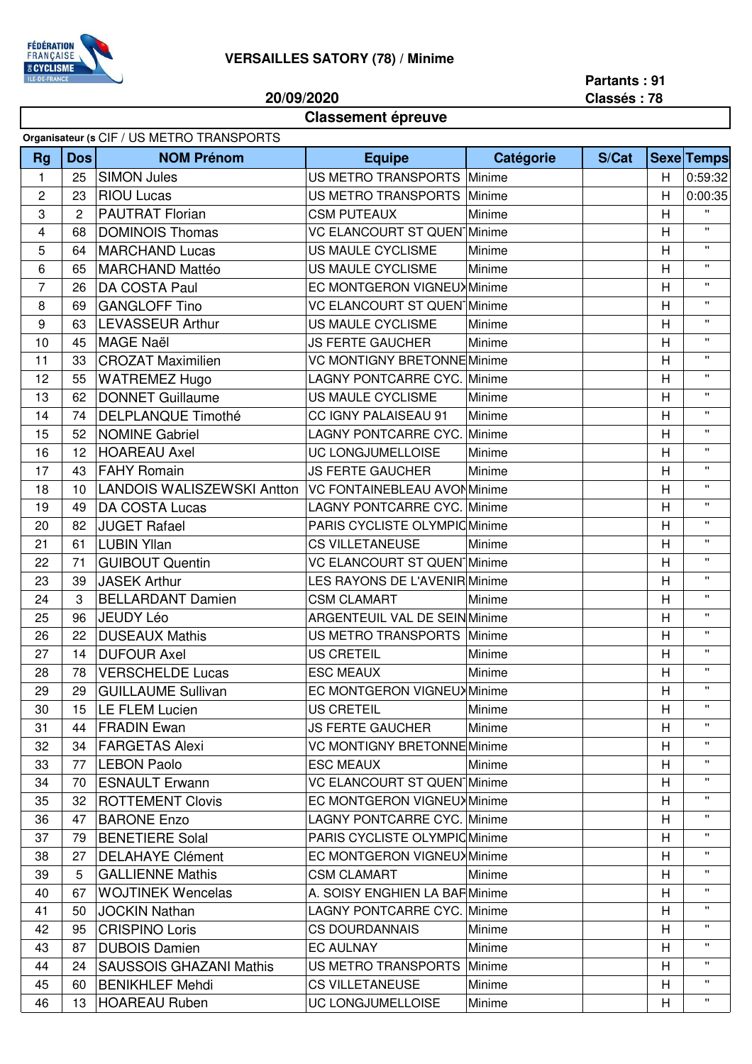

## **VERSAILLES SATORY (78) / Minime**

**20/09/2020**

**Partants : 91 Classés : 78**

## **Classement épreuve**

| Organisateur (s CIF / US METRO TRANSPORTS |            |                                |                                      |           |       |   |                   |  |  |  |
|-------------------------------------------|------------|--------------------------------|--------------------------------------|-----------|-------|---|-------------------|--|--|--|
| <b>Rg</b>                                 | <b>Dos</b> | <b>NOM Prénom</b>              | <b>Equipe</b>                        | Catégorie | S/Cat |   | <b>Sexe Temps</b> |  |  |  |
| $\mathbf{1}$                              | 25         | <b>SIMON Jules</b>             | US METRO TRANSPORTS Minime           |           |       | H | 0:59:32           |  |  |  |
| $\mathbf 2$                               | 23         | <b>RIOU Lucas</b>              | <b>US METRO TRANSPORTS</b>           | Minime    |       | H | 0:00:35           |  |  |  |
| 3                                         | 2          | <b>PAUTRAT Florian</b>         | <b>CSM PUTEAUX</b>                   | Minime    |       | H | $\mathbf{H}$      |  |  |  |
| 4                                         | 68         | <b>DOMINOIS Thomas</b>         | <b>VC ELANCOURT ST QUEN Minime</b>   |           |       | H | $\mathbf{H}$      |  |  |  |
| 5                                         | 64         | <b>MARCHAND Lucas</b>          | US MAULE CYCLISME                    | Minime    |       | H | $\mathbf{H}$      |  |  |  |
| 6                                         | 65         | <b>MARCHAND Mattéo</b>         | US MAULE CYCLISME                    | Minime    |       | H | $\mathbf{H}$      |  |  |  |
| $\overline{7}$                            | 26         | DA COSTA Paul                  | EC MONTGERON VIGNEUX Minime          |           |       | H | $\mathbf{H}$      |  |  |  |
| 8                                         | 69         | <b>GANGLOFF Tino</b>           | <b>VC ELANCOURT ST QUEN Minime</b>   |           |       | H | $\mathbf{H}$      |  |  |  |
| 9                                         | 63         | <b>LEVASSEUR Arthur</b>        | US MAULE CYCLISME                    | Minime    |       | H | $\mathbf{H}$      |  |  |  |
| 10                                        | 45         | <b>MAGE Naël</b>               | <b>JS FERTE GAUCHER</b>              | Minime    |       | H | $\mathbf{H}$      |  |  |  |
| 11                                        | 33         | <b>CROZAT Maximilien</b>       | <b>VC MONTIGNY BRETONNE Minime</b>   |           |       | H | $\mathbf{H}$      |  |  |  |
| 12                                        | 55         | <b>WATREMEZ Hugo</b>           | <b>LAGNY PONTCARRE CYC. Minime</b>   |           |       | H | $\mathbf{H}$      |  |  |  |
| 13                                        | 62         | <b>DONNET Guillaume</b>        | US MAULE CYCLISME                    | Minime    |       | H | $\mathbf{H}$      |  |  |  |
| 14                                        | 74         | <b>DELPLANQUE Timothé</b>      | CC IGNY PALAISEAU 91                 | Minime    |       | H | $\mathbf{H}$      |  |  |  |
| 15                                        | 52         | <b>NOMINE Gabriel</b>          | <b>LAGNY PONTCARRE CYC. Minime</b>   |           |       | H | $\mathbf{H}$      |  |  |  |
| 16                                        | 12         | <b>HOAREAU Axel</b>            | UC LONGJUMELLOISE                    | Minime    |       | H | $\mathbf{H}$      |  |  |  |
| 17                                        | 43         | <b>FAHY Romain</b>             | <b>JS FERTE GAUCHER</b>              | Minime    |       | H | $\mathbf{H}$      |  |  |  |
| 18                                        | 10         | LANDOIS WALISZEWSKI Antton     | <b>VC FONTAINEBLEAU AVONMinime</b>   |           |       | H | $\mathbf{H}$      |  |  |  |
| 19                                        | 49         | <b>DA COSTA Lucas</b>          | <b>LAGNY PONTCARRE CYC. Minime</b>   |           |       | H | $\mathbf{H}$      |  |  |  |
| 20                                        | 82         | <b>JUGET Rafael</b>            | PARIS CYCLISTE OLYMPIC Minime        |           |       | H | $\mathbf{H}$      |  |  |  |
| 21                                        | 61         | <b>LUBIN Yllan</b>             | <b>CS VILLETANEUSE</b>               | Minime    |       | H | $\mathbf{H}$      |  |  |  |
| 22                                        | 71         | <b>GUIBOUT Quentin</b>         | <b>VC ELANCOURT ST QUEN Minime</b>   |           |       | H | $\mathbf{H}$      |  |  |  |
| 23                                        | 39         | <b>JASEK Arthur</b>            | LES RAYONS DE L'AVENIR Minime        |           |       | H | $\mathbf{H}$      |  |  |  |
| 24                                        | 3          | <b>BELLARDANT Damien</b>       | <b>CSM CLAMART</b>                   | Minime    |       | H | $\mathbf{H}$      |  |  |  |
| 25                                        | 96         | <b>JEUDY Léo</b>               | <b>ARGENTEUIL VAL DE SEIN Minime</b> |           |       | H | $\mathbf{H}$      |  |  |  |
| 26                                        | 22         | <b>DUSEAUX Mathis</b>          | US METRO TRANSPORTS Minime           |           |       | H | $\mathbf{H}$      |  |  |  |
| 27                                        | 14         | <b>DUFOUR Axel</b>             | <b>US CRETEIL</b>                    | Minime    |       | H | $\mathbf{u}$      |  |  |  |
| 28                                        | 78         | <b>VERSCHELDE Lucas</b>        | <b>ESC MEAUX</b>                     | Minime    |       | H | $\mathbf{H}$      |  |  |  |
| 29                                        | 29         | <b>GUILLAUME Sullivan</b>      | EC MONTGERON VIGNEUX Minime          |           |       | H | $\mathbf{H}$      |  |  |  |
| 30                                        | 15         | LE FLEM Lucien                 | US CRETEIL                           | Minime    |       | H | $\mathbf{H}$      |  |  |  |
| 31                                        | 44         | <b>FRADIN Ewan</b>             | <b>JS FERTE GAUCHER</b>              | Minime    |       | H | $\mathbf{H}$      |  |  |  |
| 32                                        | 34         | <b>FARGETAS Alexi</b>          | <b>VC MONTIGNY BRETONNE Minime</b>   |           |       | H | $\mathbf{H}$      |  |  |  |
| 33                                        | 77         | <b>LEBON Paolo</b>             | <b>ESC MEAUX</b>                     | Minime    |       | H | $\mathbf{H}$      |  |  |  |
| 34                                        | 70         | <b>ESNAULT Erwann</b>          | <b>VC ELANCOURT ST QUEN Minime</b>   |           |       | H | $\mathbf{H}$      |  |  |  |
| 35                                        | 32         | <b>ROTTEMENT Clovis</b>        | EC MONTGERON VIGNEUX Minime          |           |       | H | $\mathbf{H}$      |  |  |  |
| 36                                        | 47         | <b>BARONE Enzo</b>             | <b>LAGNY PONTCARRE CYC. Minime</b>   |           |       | H | $\mathbf{H}$      |  |  |  |
| 37                                        | 79         | <b>BENETIERE Solal</b>         | PARIS CYCLISTE OLYMPIC Minime        |           |       | H | $\mathbf{H}$      |  |  |  |
| 38                                        | 27         | <b>DELAHAYE Clément</b>        | EC MONTGERON VIGNEUX Minime          |           |       | H | $\mathbf{H}$      |  |  |  |
| 39                                        | 5          | <b>GALLIENNE Mathis</b>        | <b>CSM CLAMART</b>                   | Minime    |       | H | $\mathbf{H}$      |  |  |  |
| 40                                        | 67         | <b>WOJTINEK Wencelas</b>       | A. SOISY ENGHIEN LA BAF Minime       |           |       | H | $\mathbf{H}$      |  |  |  |
| 41                                        | 50         | <b>JOCKIN Nathan</b>           | <b>LAGNY PONTCARRE CYC. Minime</b>   |           |       | H | $\mathbf{H}$      |  |  |  |
| 42                                        | 95         | <b>CRISPINO Loris</b>          | <b>CS DOURDANNAIS</b>                | Minime    |       | H | $\mathbf{H}$      |  |  |  |
| 43                                        | 87         | <b>DUBOIS Damien</b>           | <b>EC AULNAY</b>                     | Minime    |       | H | $\mathbf{H}$      |  |  |  |
| 44                                        | 24         | <b>SAUSSOIS GHAZANI Mathis</b> | US METRO TRANSPORTS Minime           |           |       | H | $\mathbf{H}$      |  |  |  |
| 45                                        | 60         | <b>BENIKHLEF Mehdi</b>         | <b>CS VILLETANEUSE</b>               | Minime    |       | H | $\mathbf{H}$      |  |  |  |
| 46                                        | 13         | <b>HOAREAU Ruben</b>           | UC LONGJUMELLOISE                    | Minime    |       | H | $\mathbf{H}$      |  |  |  |
|                                           |            |                                |                                      |           |       |   |                   |  |  |  |